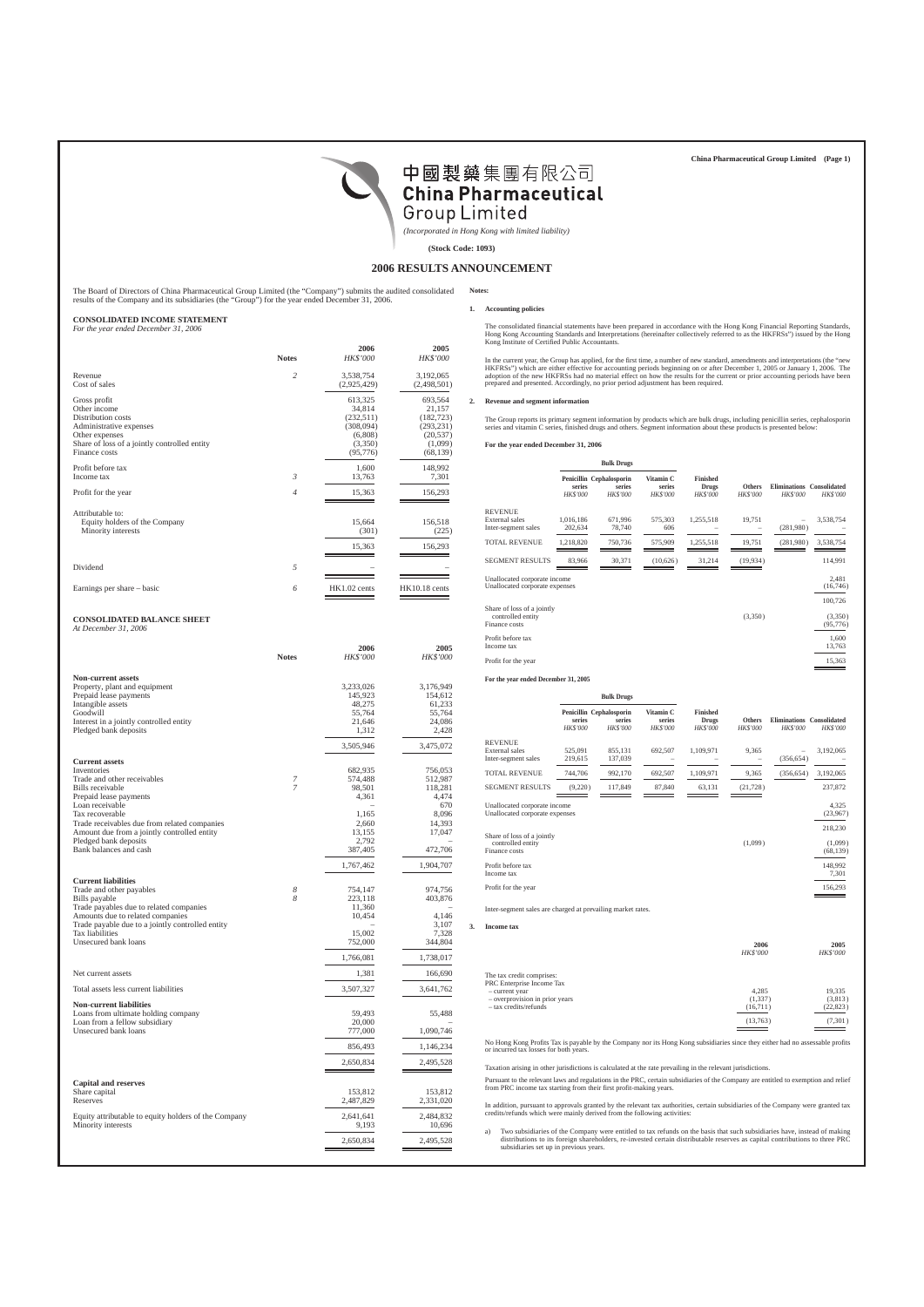

*(Incorporated in Hong Kong with limited liability)*

**Notes:**

**(Stock Code: 1093)**

## **2006 RESULTS ANNOUNCEMENT**

The Board of Directors of China Pharmaceutical Group Limited (the "Company") submits the audited consolidated results of the Company and its subsidiaries (the "Group") for the year ended December 31, 2006.

### **CONSOLIDATED INCOME STATEMENT**

*For the year ended December 31, 2006*

|                                              | <b>Notes</b>   | 2006<br>HK\$'000 | 2005<br>HK\$'000 |
|----------------------------------------------|----------------|------------------|------------------|
| Revenue                                      | $\overline{c}$ | 3,538,754        | 3,192,065        |
| Cost of sales                                |                | (2,925,429)      | (2,498,501)      |
| Gross profit                                 |                | 613,325          | 693,564          |
| Other income                                 |                | 34,814           | 21,157           |
| Distribution costs                           |                | (232, 511)       | (182, 723)       |
| Administrative expenses                      |                | (308,094)        | (293, 231)       |
| Other expenses                               |                | (6,808)          | (20, 537)        |
| Share of loss of a jointly controlled entity |                | (3,350)          | (1,099)          |
| Finance costs                                |                | (95, 776)        | (68, 139)        |
| Profit before tax                            | 3              | 1,600            | 148,992          |
| Income tax                                   |                | 13,763           | 7,301            |
| Profit for the year                          | 4              | 15,363           | 156,293          |
| Attributable to:                             |                | 15,664           | 156,518          |
| Equity holders of the Company                |                | (301)            | (225)            |
| Minority interests                           |                | 15,363           | 156,293          |
| Dividend                                     | 5              |                  |                  |
| Earnings per share – basic                   | 6              | HK1.02 cents     | HK10.18 cents    |

### **CONSOLIDATED BALANCE SHEET**

*At December 31, 2006*

|                                                      | <b>Notes</b>   | 2006<br><b>HK\$'000</b> | 2005<br><b>HK\$'000</b> |
|------------------------------------------------------|----------------|-------------------------|-------------------------|
| <b>Non-current assets</b>                            |                |                         |                         |
| Property, plant and equipment                        |                | 3,233,026               | 3,176,949               |
| Prepaid lease payments                               |                | 145,923                 | 154,612                 |
| Intangible assets                                    |                | 48,275                  | 61,233                  |
| Goodwill                                             |                | 55,764                  | 55,764                  |
| Interest in a jointly controlled entity              |                | 21,646                  | 24,086                  |
| Pledged bank deposits                                |                | 1,312                   | 2,428                   |
|                                                      |                | 3,505,946               | 3,475,072               |
| <b>Current assets</b>                                |                |                         |                         |
| Inventories                                          |                | 682,935                 | 756,053                 |
| Trade and other receivables                          | 7              | 574,488                 | 512,987                 |
| Bills receivable                                     | $\overline{7}$ | 98,501                  | 118,281                 |
| Prepaid lease payments                               |                | 4,361                   | 4,474                   |
| Loan receivable                                      |                |                         | 670                     |
| Tax recoverable                                      |                | 1,165                   | 8,096                   |
| Trade receivables due from related companies         |                | 2,660                   | 14,393                  |
| Amount due from a jointly controlled entity          |                | 13,155                  | 17,047                  |
| Pledged bank deposits                                |                | 2,792                   |                         |
| Bank balances and cash                               |                | 387,405                 | 472,706                 |
|                                                      |                | 1,767,462               | 1,904,707               |
| <b>Current liabilities</b>                           |                |                         |                         |
| Trade and other payables                             | 8              | 754,147                 | 974,756                 |
| Bills payable                                        | 8              | 223,118                 | 403,876                 |
| Trade payables due to related companies              |                | 11,360                  |                         |
| Amounts due to related companies                     |                | 10,454                  | 4.146                   |
| Trade payable due to a jointly controlled entity     |                |                         | 3,107                   |
| Tax liabilities                                      |                | 15,002                  | 7,328                   |
| Unsecured bank loans                                 |                | 752,000                 | 344,804                 |
|                                                      |                | 1,766,081               | 1,738,017               |
| Net current assets                                   |                | 1,381                   | 166,690                 |
| Total assets less current liabilities                |                | 3,507,327               | 3,641,762               |
| <b>Non-current liabilities</b>                       |                |                         |                         |
| Loans from ultimate holding company                  |                | 59,493                  | 55,488                  |
| Loan from a fellow subsidiary                        |                | 20,000                  |                         |
| Unsecured bank loans                                 |                | 777,000                 | 1,090,746               |
|                                                      |                | 856,493                 | 1,146,234               |
|                                                      |                | 2,650,834               | 2,495,528               |
|                                                      |                |                         |                         |
| <b>Capital and reserves</b>                          |                |                         |                         |
| Share capital                                        |                | 153,812                 | 153,812                 |
| Reserves                                             |                | 2,487,829               | 2,331,020               |
| Equity attributable to equity holders of the Company |                | 2,641,641               | 2,484,832               |
| Minority interests                                   |                | 9,193                   | 10,696                  |
|                                                      |                |                         |                         |
|                                                      |                | 2,650,834               | 2,495,528               |

## **1. Accounting policies**

The consolidated financial statements have been prepared in accordance with the Hong Kong Financial Reporting Standards,<br>Hong Kong Accounting Standards and Interpretations (hereinafter collectively referred to as the HKFRS

In the current year, the Group has applied, for the first time, a number of new standard, amendments and interpretations (the "new<br>HKFRSs") which are either effective for accounting periods beginning on or after December 1 prepared and presented. Accordingly, no prior period adjustment has been required.

## **2. Revenue and segment information**

The Group reports its primary segment information by products which are bulk drugs, including penicillin series, cephalosporin<br>series and vitamin C series, finished drugs and others. Segment information about these product

**For the year ended December 31, 2006**

|                                                                  | <b>Bulk Drugs</b>         |                                                       |                                 |                                                    |                                  |                                        |                                 |
|------------------------------------------------------------------|---------------------------|-------------------------------------------------------|---------------------------------|----------------------------------------------------|----------------------------------|----------------------------------------|---------------------------------|
|                                                                  | series<br><b>HK\$'000</b> | Penicillin Cephalosporin<br>series<br><b>HK\$'000</b> | Vitamin C<br>series<br>HK\$'000 | <b>Finished</b><br><b>Drugs</b><br><b>HK\$'000</b> | <b>Others</b><br><b>HK\$'000</b> | <b>Eliminations</b><br><b>HK\$'000</b> | Consolidated<br><b>HK\$'000</b> |
| <b>REVENUE</b>                                                   |                           |                                                       |                                 |                                                    |                                  |                                        |                                 |
| External sales<br>Inter-segment sales                            | 1,016,186<br>202,634      | 671,996<br>78,740                                     | 575,303<br>606                  | 1,255,518                                          | 19,751                           | (281,980)                              | 3,538,754                       |
|                                                                  |                           |                                                       |                                 |                                                    |                                  |                                        |                                 |
| <b>TOTAL REVENUE</b>                                             | 1,218,820                 | 750,736                                               | 575,909                         | 1,255,518                                          | 19,751                           | (281,980)                              | 3,538,754                       |
| <b>SEGMENT RESULTS</b>                                           | 83,966                    | 30,371                                                | (10,626)                        | 31,214                                             | (19,934)                         |                                        | 114,991                         |
| Unallocated corporate income<br>Unallocated corporate expenses   |                           |                                                       |                                 |                                                    |                                  |                                        | 2,481<br>(16,746)               |
|                                                                  |                           |                                                       |                                 |                                                    |                                  |                                        | 100,726                         |
| Share of loss of a jointly<br>controlled entity<br>Finance costs |                           |                                                       |                                 |                                                    | (3,350)                          |                                        | (3,350)<br>(95, 776)            |
| Profit before tax<br>Income tax                                  |                           |                                                       |                                 |                                                    |                                  |                                        | 1,600<br>13,763                 |
| Profit for the year                                              |                           |                                                       |                                 |                                                    |                                  |                                        | 15,363                          |
|                                                                  |                           |                                                       |                                 |                                                    |                                  |                                        |                                 |

**For the year ended December 31, 2005**

**3. Income tax**

|                                                                  |                           | <b>Bulk Drugs</b>                                     |                                        |                                                    |                                  |                                        |                                 |
|------------------------------------------------------------------|---------------------------|-------------------------------------------------------|----------------------------------------|----------------------------------------------------|----------------------------------|----------------------------------------|---------------------------------|
|                                                                  | series<br><b>HK\$'000</b> | Penicillin Cephalosporin<br>series<br><b>HK\$'000</b> | Vitamin C<br>series<br><b>HK\$'000</b> | <b>Finished</b><br><b>Drugs</b><br><b>HK\$'000</b> | <b>Others</b><br><b>HK\$'000</b> | <b>Eliminations</b><br><b>HK\$'000</b> | Consolidated<br><b>HK\$'000</b> |
| <b>REVENUE</b><br><b>External</b> sales<br>Inter-segment sales   | 525,091<br>219,615        | 855,131<br>137,039                                    | 692,507                                | 1,109,971                                          | 9,365                            | (356, 654)                             | 3,192,065                       |
| <b>TOTAL REVENUE</b>                                             | 744,706                   | 992,170                                               | 692,507                                | 1,109,971                                          | 9,365                            | (356, 654)                             | 3,192,065                       |
| <b>SEGMENT RESULTS</b>                                           | (9,220)                   | 117,849                                               | 87,840                                 | 63,131                                             | (21, 728)                        |                                        | 237,872                         |
| Unallocated corporate income<br>Unallocated corporate expenses   |                           |                                                       |                                        |                                                    |                                  |                                        | 4,325<br>(23,967)               |
| Share of loss of a jointly<br>controlled entity<br>Finance costs |                           |                                                       |                                        |                                                    | (1,099)                          |                                        | 218,230<br>(1,099)<br>(68, 139) |
| Profit before tax<br>Income tax                                  |                           |                                                       |                                        |                                                    |                                  |                                        | 148,992<br>7,301                |
| Profit for the year                                              |                           |                                                       |                                        |                                                    |                                  |                                        | 156,293                         |
| Inter-segment sales are charged at prevailing market rates.      |                           |                                                       |                                        |                                                    |                                  |                                        |                                 |
| <b>Income</b> tax                                                |                           |                                                       |                                        |                                                    |                                  |                                        |                                 |
|                                                                  |                           |                                                       |                                        |                                                    | 2006                             |                                        | 2005                            |

|                                                                                                                                     | <b>HK\$'000</b>              | <b>HK\$'000</b>                |
|-------------------------------------------------------------------------------------------------------------------------------------|------------------------------|--------------------------------|
| The tax credit comprises:<br>PRC Enterprise Income Tax<br>- current year<br>- overprovision in prior years<br>- tax credits/refunds | 4,285<br>(1,337)<br>(16,711) | 19,335<br>(3,813)<br>(22, 823) |
|                                                                                                                                     | (13, 763)                    | (7,301)                        |

No Hong Kong Profits Tax is payable by the Company nor its Hong Kong subsidiaries since they either had no assessable profits or incurred tax losses for both years.

Taxation arising in other jurisdictions is calculated at the rate prevailing in the relevant jurisdictions.

Pursuant to the relevant laws and regulations in the PRC, certain subsidiaries of the Company are entitled to exemption and relief from PRC income tax starting from their first profit-making years.

In addition, pursuant to approvals granted by the relevant tax authorities, certain subsidiaries of the Company were granted tax credits/refunds which were mainly derived from the following activities:

a) Two subsidiaries of the Company were entitled to tax refunds on the basis that such subsidiaries have, instead of making distributions to its foreign shareholders, re-invested certain distributable reserves as capital c subsidiaries set up in previous years.